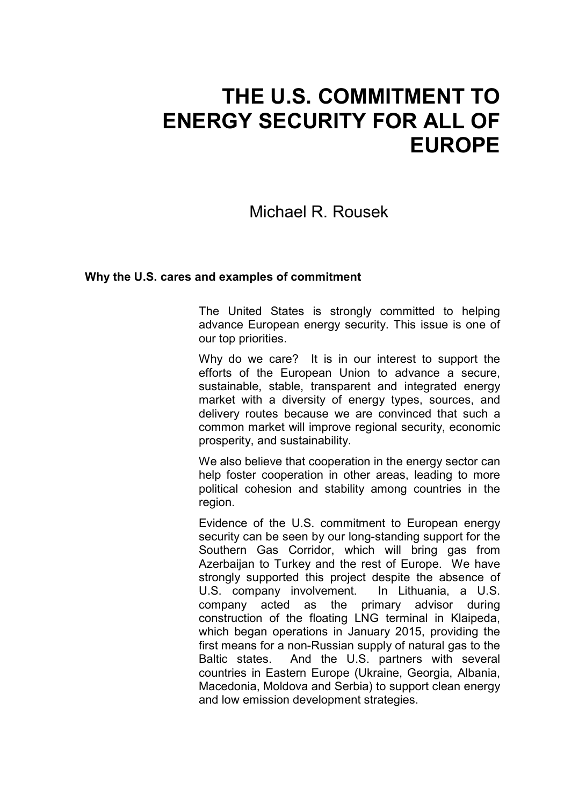# **THE U.S. COMMITMENT TO ENERGY SECURITY FOR ALL OF EUROPE**

## Michael R. Rousek

#### **Why the U.S. cares and examples of commitment**

The United States is strongly committed to helping advance European energy security. This issue is one of our top priorities.

Why do we care? It is in our interest to support the efforts of the European Union to advance a secure, sustainable, stable, transparent and integrated energy market with a diversity of energy types, sources, and delivery routes because we are convinced that such a common market will improve regional security, economic prosperity, and sustainability.

We also believe that cooperation in the energy sector can help foster cooperation in other areas, leading to more political cohesion and stability among countries in the region.

Evidence of the U.S. commitment to European energy security can be seen by our long-standing support for the Southern Gas Corridor, which will bring gas from Azerbaijan to Turkey and the rest of Europe. We have strongly supported this project despite the absence of U.S. company involvement. In Lithuania, a U.S. company acted as the primary advisor during construction of the floating LNG terminal in Klaipeda, which began operations in January 2015, providing the first means for a non-Russian supply of natural gas to the Baltic states. And the U.S. partners with several countries in Eastern Europe (Ukraine, Georgia, Albania, Macedonia, Moldova and Serbia) to support clean energy and low emission development strategies.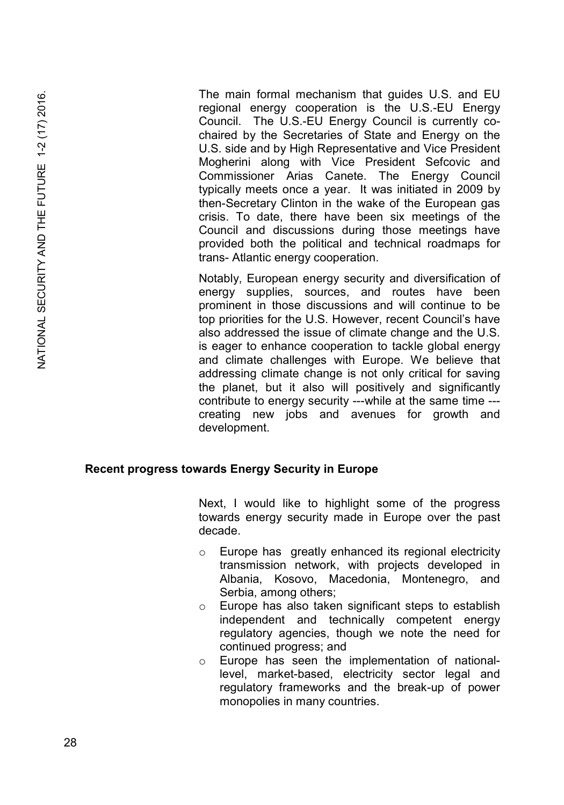The main formal mechanism that guides U.S. and EU regional energy cooperation is the U.S.-EU Energy Council. The U.S.-EU Energy Council is currently cochaired by the Secretaries of State and Energy on the U.S. side and by High Representative and Vice President Mogherini along with Vice President Sefcovic and Commissioner Arias Canete. The Energy Council typically meets once a year. It was initiated in 2009 by then-Secretary Clinton in the wake of the European gas crisis. To date, there have been six meetings of the Council and discussions during those meetings have provided both the political and technical roadmaps for trans- Atlantic energy cooperation.

Notably, European energy security and diversification of energy supplies, sources, and routes have been prominent in those discussions and will continue to be top priorities for the U.S. However, recent Council's have also addressed the issue of climate change and the U.S. is eager to enhance cooperation to tackle global energy and climate challenges with Europe. We believe that addressing climate change is not only critical for saving the planet, but it also will positively and significantly contribute to energy security ---while at the same time -- creating new jobs and avenues for growth and development.

#### **Recent progress towards Energy Security in Europe**

Next, I would like to highlight some of the progress towards energy security made in Europe over the past decade.

- o Europe has greatly enhanced its regional electricity transmission network, with projects developed in Albania, Kosovo, Macedonia, Montenegro, and Serbia, among others;
- o Europe has also taken significant steps to establish independent and technically competent energy regulatory agencies, though we note the need for continued progress; and
- o Europe has seen the implementation of nationallevel, market-based, electricity sector legal and regulatory frameworks and the break-up of power monopolies in many countries.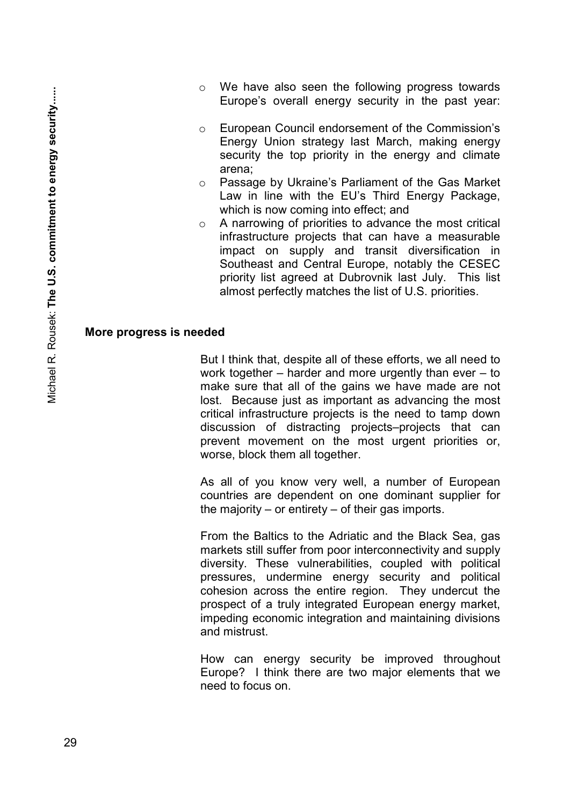- o We have also seen the following progress towards Europe's overall energy security in the past year:
- o European Council endorsement of the Commission's Energy Union strategy last March, making energy security the top priority in the energy and climate arena;
- o Passage by Ukraine's Parliament of the Gas Market Law in line with the EU's Third Energy Package, which is now coming into effect; and
- o A narrowing of priorities to advance the most critical infrastructure projects that can have a measurable impact on supply and transit diversification in Southeast and Central Europe, notably the CESEC priority list agreed at Dubrovnik last July. This list almost perfectly matches the list of U.S. priorities.

#### **More progress is needed**

But I think that, despite all of these efforts, we all need to work together – harder and more urgently than ever – to make sure that all of the gains we have made are not lost. Because just as important as advancing the most critical infrastructure projects is the need to tamp down discussion of distracting projects–projects that can prevent movement on the most urgent priorities or, worse, block them all together.

As all of you know very well, a number of European countries are dependent on one dominant supplier for the majority – or entirety – of their gas imports.

From the Baltics to the Adriatic and the Black Sea, gas markets still suffer from poor interconnectivity and supply diversity. These vulnerabilities, coupled with political pressures, undermine energy security and political cohesion across the entire region. They undercut the prospect of a truly integrated European energy market, impeding economic integration and maintaining divisions and mistrust.

How can energy security be improved throughout Europe? I think there are two major elements that we need to focus on.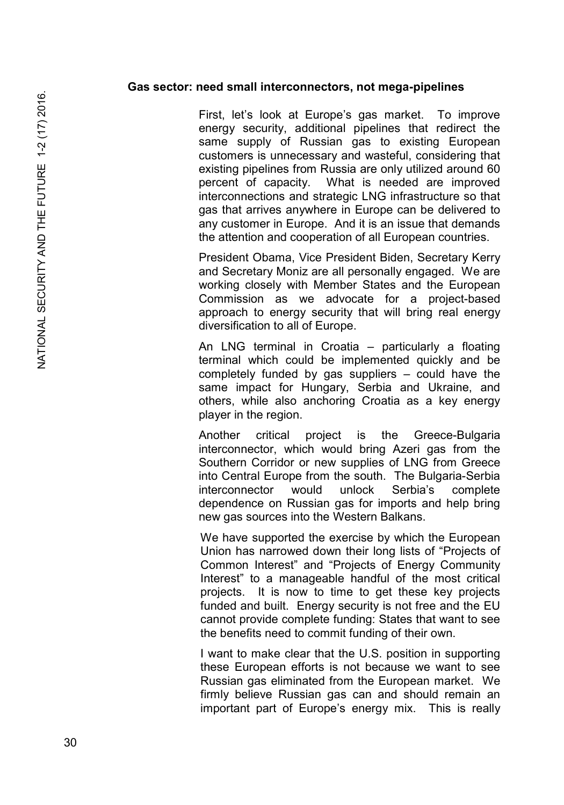#### **Gas sector: need small interconnectors, not mega-pipelines**

First, let's look at Europe's gas market. To improve energy security, additional pipelines that redirect the same supply of Russian gas to existing European customers is unnecessary and wasteful, considering that existing pipelines from Russia are only utilized around 60 percent of capacity. What is needed are improved interconnections and strategic LNG infrastructure so that gas that arrives anywhere in Europe can be delivered to any customer in Europe. And it is an issue that demands the attention and cooperation of all European countries.

President Obama, Vice President Biden, Secretary Kerry and Secretary Moniz are all personally engaged. We are working closely with Member States and the European Commission as we advocate for a project-based approach to energy security that will bring real energy diversification to all of Europe.

An LNG terminal in Croatia – particularly a floating terminal which could be implemented quickly and be completely funded by gas suppliers – could have the same impact for Hungary, Serbia and Ukraine, and others, while also anchoring Croatia as a key energy player in the region.

Another critical project is the Greece-Bulgaria interconnector, which would bring Azeri gas from the Southern Corridor or new supplies of LNG from Greece into Central Europe from the south. The Bulgaria-Serbia<br>interconnector would unlock Serbia's complete interconnector would unlock Serbia's complete dependence on Russian gas for imports and help bring new gas sources into the Western Balkans.

We have supported the exercise by which the European Union has narrowed down their long lists of "Projects of Common Interest" and "Projects of Energy Community Interest" to a manageable handful of the most critical projects. It is now to time to get these key projects funded and built. Energy security is not free and the EU cannot provide complete funding: States that want to see the benefits need to commit funding of their own.

I want to make clear that the U.S. position in supporting these European efforts is not because we want to see Russian gas eliminated from the European market. We firmly believe Russian gas can and should remain an important part of Europe's energy mix. This is really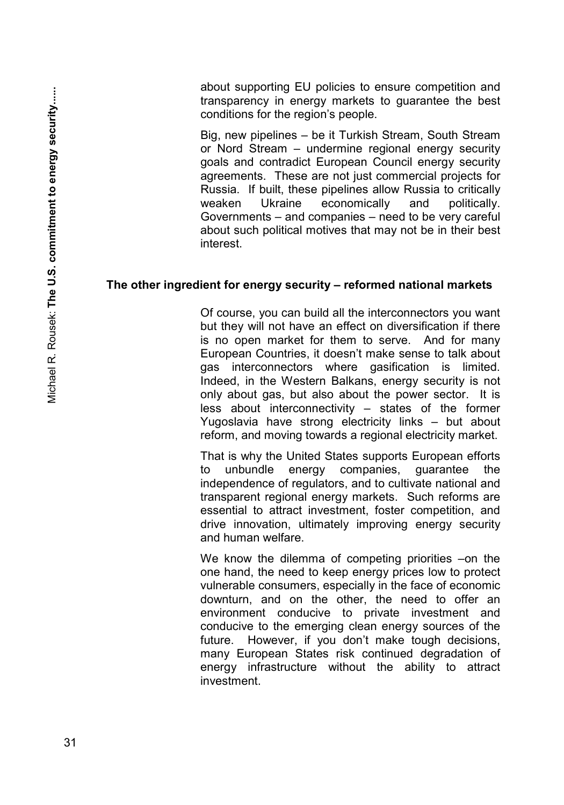about supporting EU policies to ensure competition and transparency in energy markets to guarantee the best conditions for the region's people.

Big, new pipelines – be it Turkish Stream, South Stream or Nord Stream – undermine regional energy security goals and contradict European Council energy security agreements. These are not just commercial projects for Russia. If built, these pipelines allow Russia to critically economically and politically. Governments – and companies – need to be very careful about such political motives that may not be in their best interest.

#### **The other ingredient for energy security – reformed national markets**

Of course, you can build all the interconnectors you want but they will not have an effect on diversification if there is no open market for them to serve. And for many European Countries, it doesn't make sense to talk about gas interconnectors where gasification is limited. Indeed, in the Western Balkans, energy security is not only about gas, but also about the power sector. It is less about interconnectivity – states of the former Yugoslavia have strong electricity links – but about reform, and moving towards a regional electricity market.

That is why the United States supports European efforts to unbundle energy companies, guarantee the independence of regulators, and to cultivate national and transparent regional energy markets. Such reforms are essential to attract investment, foster competition, and drive innovation, ultimately improving energy security and human welfare.

We know the dilemma of competing priorities –on the one hand, the need to keep energy prices low to protect vulnerable consumers, especially in the face of economic downturn, and on the other, the need to offer an environment conducive to private investment and conducive to the emerging clean energy sources of the future. However, if you don't make tough decisions, many European States risk continued degradation of energy infrastructure without the ability to attract investment.